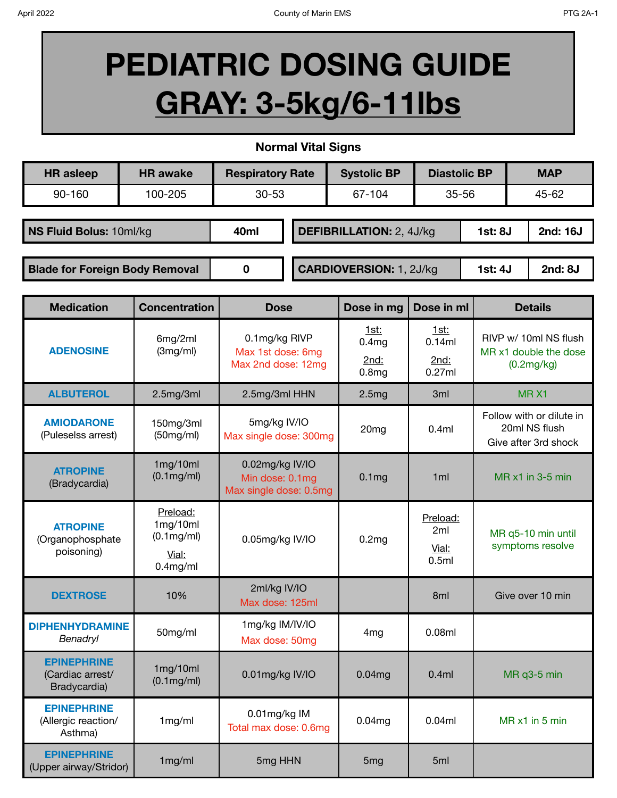## **PEDIATRIC DOSING GUIDE GRAY: 3-5kg/6-11lbs**

**Normal Vital Signs**

| <b>HR</b> asleep                      | <b>HR</b> awake | <b>Respiratory Rate</b> |  | <b>Systolic BP</b>              | <b>Diastolic BP</b> |         | <b>MAP</b>          |
|---------------------------------------|-----------------|-------------------------|--|---------------------------------|---------------------|---------|---------------------|
| 90-160                                | 100-205         | $30 - 53$               |  | 67-104                          | 35-56               |         | 45-62               |
| NS Fluid Bolus: 10ml/kg               |                 | 40ml                    |  | <b>DEFIBRILLATION: 2, 4J/kg</b> |                     |         | 2nd: 16J<br>1st: 8J |
| <b>Blade for Foreign Body Removal</b> |                 | 0                       |  | <b>CARDIOVERSION: 1, 2J/kg</b>  |                     | 1st: 4J | 2nd: 8J             |

| <b>Medication</b>                                      | <b>Concentration</b>                                                 | <b>Dose</b>                                                  | Dose in mg                                             | Dose in ml                        | <b>Details</b>                                                    |
|--------------------------------------------------------|----------------------------------------------------------------------|--------------------------------------------------------------|--------------------------------------------------------|-----------------------------------|-------------------------------------------------------------------|
| <b>ADENOSINE</b>                                       | 6mg/2ml<br>(3mg/ml)                                                  | 0.1mg/kg RIVP<br>Max 1st dose: 6mg<br>Max 2nd dose: 12mg     | 1st:<br>0.4 <sub>mg</sub><br>2nd:<br>0.8 <sub>mg</sub> | 1st:<br>0.14ml<br>2nd:<br>0.27ml  | RIVP w/ 10ml NS flush<br>MR x1 double the dose<br>(0.2mg/kg)      |
| <b>ALBUTEROL</b>                                       | 2.5mg/3ml                                                            | 2.5mg/3ml HHN                                                | 2.5mg                                                  | 3 <sub>ml</sub>                   | MRX1                                                              |
| <b>AMIODARONE</b><br>(Puleselss arrest)                | 150mg/3ml<br>(50mg/ml)                                               | 5mg/kg IV/IO<br>Max single dose: 300mg                       | 20 <sub>mg</sub>                                       | 0.4ml                             | Follow with or dilute in<br>20ml NS flush<br>Give after 3rd shock |
| <b>ATROPINE</b><br>(Bradycardia)                       | 1mg/10ml<br>$(0.1 \text{mg/ml})$                                     | 0.02mg/kg IV/IO<br>Min dose: 0.1mg<br>Max single dose: 0.5mg | 0.1 <sub>mg</sub>                                      | 1ml                               | MR x1 in 3-5 min                                                  |
| <b>ATROPINE</b><br>(Organophosphate<br>poisoning)      | Preload:<br>1mg/10ml<br>$(0.1 \text{mg/ml})$<br>Vial:<br>$0.4$ mg/ml | 0.05mg/kg IV/IO                                              | 0.2mg                                                  | Preload:<br>2ml<br>Vial:<br>0.5ml | MR q5-10 min until<br>symptoms resolve                            |
| <b>DEXTROSE</b>                                        | 10%                                                                  | 2ml/kg IV/IO<br>Max dose: 125ml                              |                                                        | 8 <sub>ml</sub>                   | Give over 10 min                                                  |
| <b>DIPHENHYDRAMINE</b><br>Benadryl                     | 50mg/ml                                                              | 1mg/kg IM/IV/IO<br>Max dose: 50mg                            | 4 <sub>mg</sub>                                        | 0.08ml                            |                                                                   |
| <b>EPINEPHRINE</b><br>(Cardiac arrest/<br>Bradycardia) | 1mg/10ml<br>$(0.1 \text{mg/ml})$                                     | 0.01mg/kg IV/IO                                              | 0.04mg                                                 | 0.4ml                             | MR q3-5 min                                                       |
| <b>EPINEPHRINE</b><br>(Allergic reaction/<br>Asthma)   | 1mg/ml                                                               | 0.01mg/kg IM<br>Total max dose: 0.6mg                        | 0.04mg                                                 | 0.04ml                            | MR x1 in 5 min                                                    |
| <b>EPINEPHRINE</b><br>(Upper airway/Stridor)           | 1mg/ml                                                               | 5mg HHN                                                      | 5 <sub>mg</sub>                                        | 5ml                               |                                                                   |